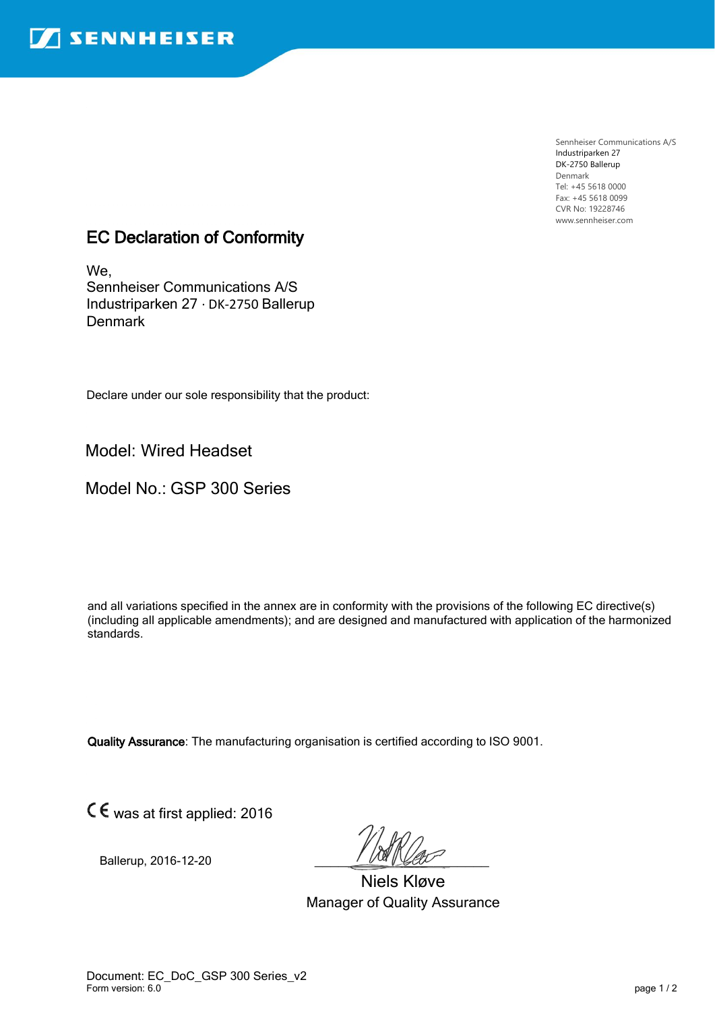Sennheiser Communications A/S Industriparken 27 DK-2750 Ballerup Denmark Tel: +45 5618 0000 Fax: +45 5618 0099 CVR No: 19228746 www.sennheiser.com

## EC Declaration of Conformity

We, Sennheiser Communications A/S Industriparken 27 · DK-2750 Ballerup **Denmark** 

Declare under our sole responsibility that the product:

Model: Wired Headset

Model No.: GSP 300 Series

and all variations specified in the annex are in conformity with the provisions of the following EC directive(s) (including all applicable amendments); and are designed and manufactured with application of the harmonized standards.

Quality Assurance: The manufacturing organisation is certified according to ISO 9001.

was at first applied: 2016

Ballerup, 2016-12-20

Niels Kløve Manager of Quality Assurance